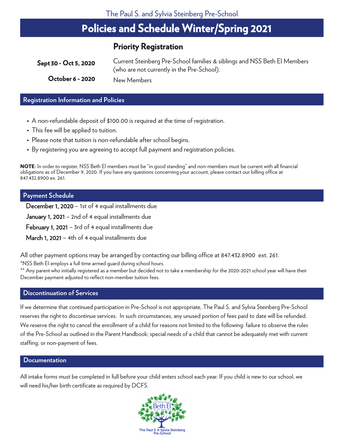# **Policies and Schedule Winter/Spring 2021**

# **Priority Registration**

| Sept 30 - Oct 5, 2020 | Current Steinberg Pre-School families & siblings and NSS Beth El Members<br>(who are not currently in the Pre-School). |
|-----------------------|------------------------------------------------------------------------------------------------------------------------|
| October 6 - 2020      | New Members                                                                                                            |

#### **Registration Information and Policies**

- A non-refundable deposit of \$100.00 is required at the time of registration.
- This fee will be applied to tuition.
- Please note that tuition is non-refundable after school begins.
- By registering you are agreeing to accept full payment and registration policies.

**NOTE**: In order to register, NSS Beth EI members must be "in good standing" and non-members must be current with all financial obligations as of December 9, 2020. If you have any questions concerning your account, please contact our billing office at 847.432.8900 ex. 261.

### **Payment Schedule**

December 1, 2020 – 1st of 4 equal installments due

**January 1, 2021** – 2nd of 4 equal installments due

February 1, 2021 – 3rd of 4 equal installments due

March 1, 2021 – 4th of 4 equal installments due

All other payment options may be arranged by contacting our billing office at 847.432.8900 ext. 261.

\*NSS Beth El employs a full time armed quard during school hours.

\*\* Any parent who initially registered as a member but decided not to take a membership for the 2020-2021 school year will have their December payment adjusted to reflect non-member tuition fees.

### **Discontinuation of Services**

If we determine that continued participation in Pre-School is not appropriate, The Paul S. and Sylvia Steinberg Pre-School reserves the right to discontinue services. In such circumstances, any unused portion of fees paid to date will be refunded. We reserve the right to cancel the enrollment of a child for reasons not limited to the following: failure to observe the rules of the Pre-School as outlined in the Parent Handbook; special needs of a child that cannot be adequately met with current staffing; or non-payment of fees.

### **Documentation**

All intake forms must be completed in full before your child enters school each year. If you child is new to our school, we will need his/her birth certificate as required by DCFS. Layout Vertical